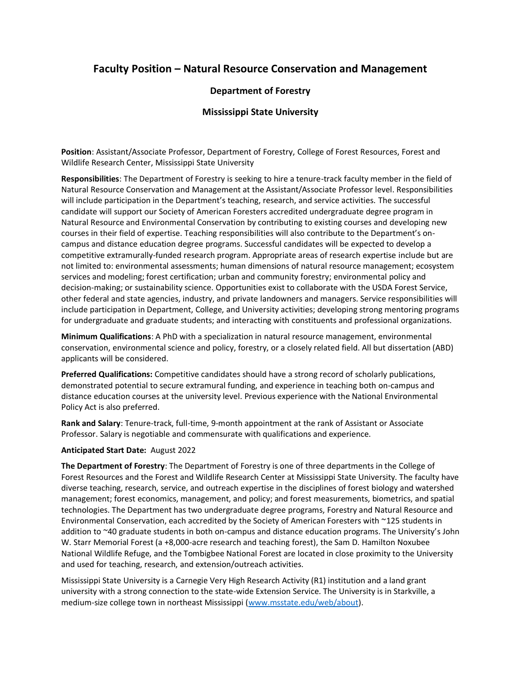## **Faculty Position – Natural Resource Conservation and Management**

## **Department of Forestry**

## **Mississippi State University**

**Position**: Assistant/Associate Professor, Department of Forestry, College of Forest Resources, Forest and Wildlife Research Center, Mississippi State University

**Responsibilities**: The Department of Forestry is seeking to hire a tenure-track faculty member in the field of Natural Resource Conservation and Management at the Assistant/Associate Professor level. Responsibilities will include participation in the Department's teaching, research, and service activities. The successful candidate will support our Society of American Foresters accredited undergraduate degree program in Natural Resource and Environmental Conservation by contributing to existing courses and developing new courses in their field of expertise. Teaching responsibilities will also contribute to the Department's oncampus and distance education degree programs. Successful candidates will be expected to develop a competitive extramurally-funded research program. Appropriate areas of research expertise include but are not limited to: environmental assessments; human dimensions of natural resource management; ecosystem services and modeling; forest certification; urban and community forestry; environmental policy and decision-making; or sustainability science. Opportunities exist to collaborate with the USDA Forest Service, other federal and state agencies, industry, and private landowners and managers. Service responsibilities will include participation in Department, College, and University activities; developing strong mentoring programs for undergraduate and graduate students; and interacting with constituents and professional organizations.

**Minimum Qualifications**: A PhD with a specialization in natural resource management, environmental conservation, environmental science and policy, forestry, or a closely related field. All but dissertation (ABD) applicants will be considered.

**Preferred Qualifications:** Competitive candidates should have a strong record of scholarly publications, demonstrated potential to secure extramural funding, and experience in teaching both on-campus and distance education courses at the university level. Previous experience with the National Environmental Policy Act is also preferred.

**Rank and Salary**: Tenure-track, full-time, 9-month appointment at the rank of Assistant or Associate Professor. Salary is negotiable and commensurate with qualifications and experience.

## **Anticipated Start Date:** August 2022

**The Department of Forestry**: The Department of Forestry is one of three departments in the College of Forest Resources and the Forest and Wildlife Research Center at Mississippi State University. The faculty have diverse teaching, research, service, and outreach expertise in the disciplines of forest biology and watershed management; forest economics, management, and policy; and forest measurements, biometrics, and spatial technologies. The Department has two undergraduate degree programs, Forestry and Natural Resource and Environmental Conservation, each accredited by the Society of American Foresters with ~125 students in addition to ~40 graduate students in both on-campus and distance education programs. The University's John W. Starr Memorial Forest (a +8,000-acre research and teaching forest), the Sam D. Hamilton Noxubee National Wildlife Refuge, and the Tombigbee National Forest are located in close proximity to the University and used for teaching, research, and extension/outreach activities.

Mississippi State University is a Carnegie Very High Research Activity (R1) institution and a land grant university with a strong connection to the state-wide Extension Service. The University is in Starkville, a medium-size college town in northeast Mississippi (www.msstate.edu/web/about).